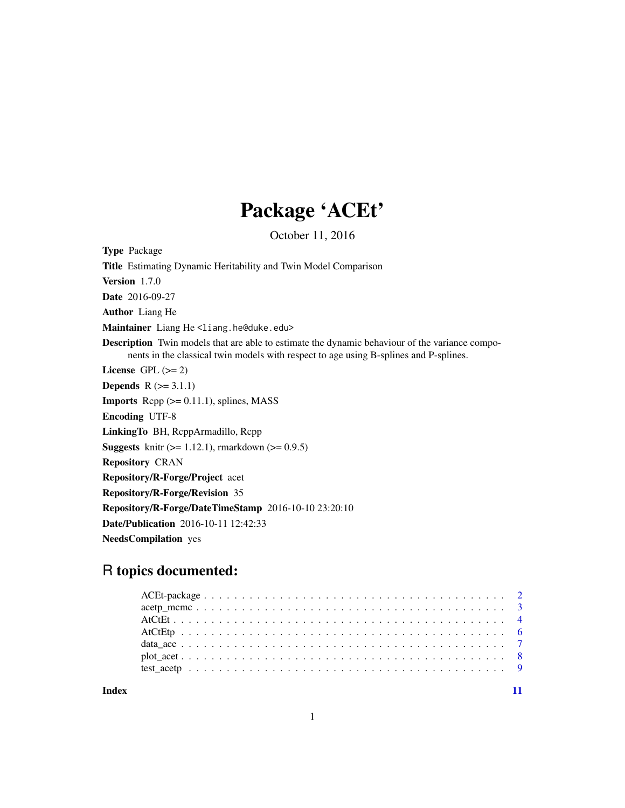## Package 'ACEt'

October 11, 2016

Type Package Title Estimating Dynamic Heritability and Twin Model Comparison Version 1.7.0 Date 2016-09-27 Author Liang He Maintainer Liang He <liang.he@duke.edu> Description Twin models that are able to estimate the dynamic behaviour of the variance components in the classical twin models with respect to age using B-splines and P-splines. License GPL  $(>= 2)$ **Depends**  $R$  ( $> = 3.1.1$ ) **Imports** Rcpp  $(>= 0.11.1)$ , splines, MASS Encoding UTF-8 LinkingTo BH, RcppArmadillo, Rcpp **Suggests** knitr  $(>= 1.12.1)$ , rmarkdown  $(>= 0.9.5)$ Repository CRAN Repository/R-Forge/Project acet Repository/R-Forge/Revision 35 Repository/R-Forge/DateTimeStamp 2016-10-10 23:20:10 Date/Publication 2016-10-11 12:42:33 NeedsCompilation yes

### R topics documented:

**Index** [11](#page-10-0)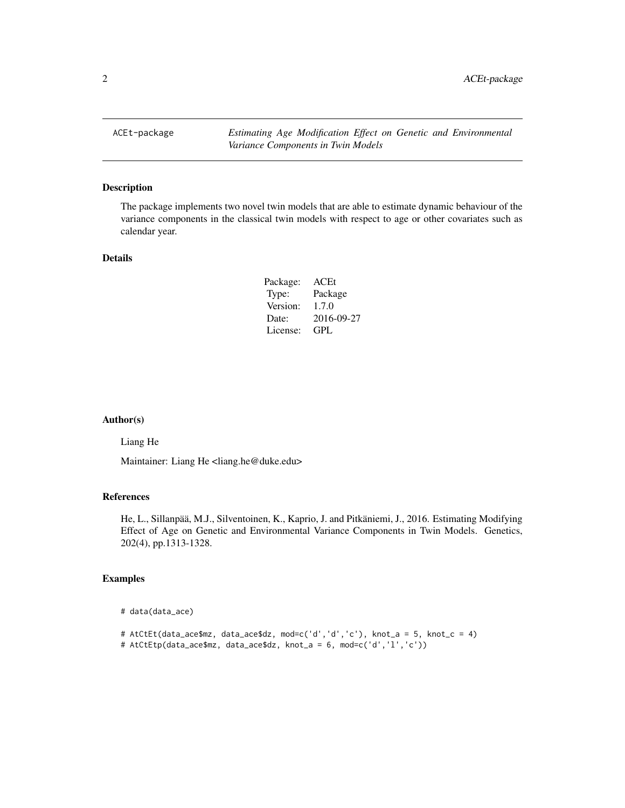<span id="page-1-0"></span>ACEt-package *Estimating Age Modification Effect on Genetic and Environmental Variance Components in Twin Models*

#### Description

The package implements two novel twin models that are able to estimate dynamic behaviour of the variance components in the classical twin models with respect to age or other covariates such as calendar year.

#### Details

| Package: | ACEt       |
|----------|------------|
| Type:    | Package    |
| Version: | 1.7.0      |
| Date:    | 2016-09-27 |
| License: | GPL        |

#### Author(s)

Liang He

Maintainer: Liang He <liang.he@duke.edu>

#### References

He, L., Sillanpää, M.J., Silventoinen, K., Kaprio, J. and Pitkäniemi, J., 2016. Estimating Modifying Effect of Age on Genetic and Environmental Variance Components in Twin Models. Genetics, 202(4), pp.1313-1328.

#### Examples

```
# data(data_ace)
```

```
# AtCtEt(data_ace$mz, data_ace$dz, mod=c('d','d','c'), knot_a = 5, knot_c = 4)
# AtCtEtp(data_ace$mz, data_ace$dz, knot_a = 6, mod=c('d','l','c'))
```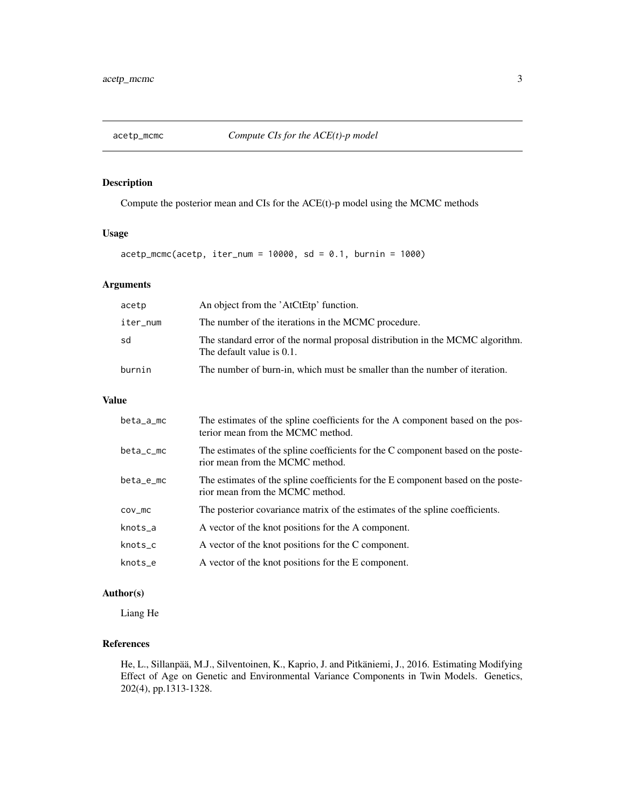<span id="page-2-0"></span>

#### Description

Compute the posterior mean and CIs for the ACE(t)-p model using the MCMC methods

#### Usage

 $accept_mcmc(accept, iter_num = 10000, sd = 0.1, burnin = 1000)$ 

#### Arguments

| acetp    | An object from the 'AtCtEtp' function.                                                                     |
|----------|------------------------------------------------------------------------------------------------------------|
| iter_num | The number of the iterations in the MCMC procedure.                                                        |
| sd       | The standard error of the normal proposal distribution in the MCMC algorithm.<br>The default value is 0.1. |
| burnin   | The number of burn-in, which must be smaller than the number of iteration.                                 |

#### Value

| beta_a_mc   | The estimates of the spline coefficients for the A component based on the pos-<br>terior mean from the MCMC method. |
|-------------|---------------------------------------------------------------------------------------------------------------------|
| $beta_c$ mc | The estimates of the spline coefficients for the C component based on the poste-<br>rior mean from the MCMC method. |
| beta_e_mc   | The estimates of the spline coefficients for the E component based on the poste-<br>rior mean from the MCMC method. |
| $cov_m$     | The posterior covariance matrix of the estimates of the spline coefficients.                                        |
| knots_a     | A vector of the knot positions for the A component.                                                                 |
| knots_c     | A vector of the knot positions for the C component.                                                                 |
| knots e     | A vector of the knot positions for the E component.                                                                 |

#### Author(s)

Liang He

#### References

He, L., Sillanpää, M.J., Silventoinen, K., Kaprio, J. and Pitkäniemi, J., 2016. Estimating Modifying Effect of Age on Genetic and Environmental Variance Components in Twin Models. Genetics, 202(4), pp.1313-1328.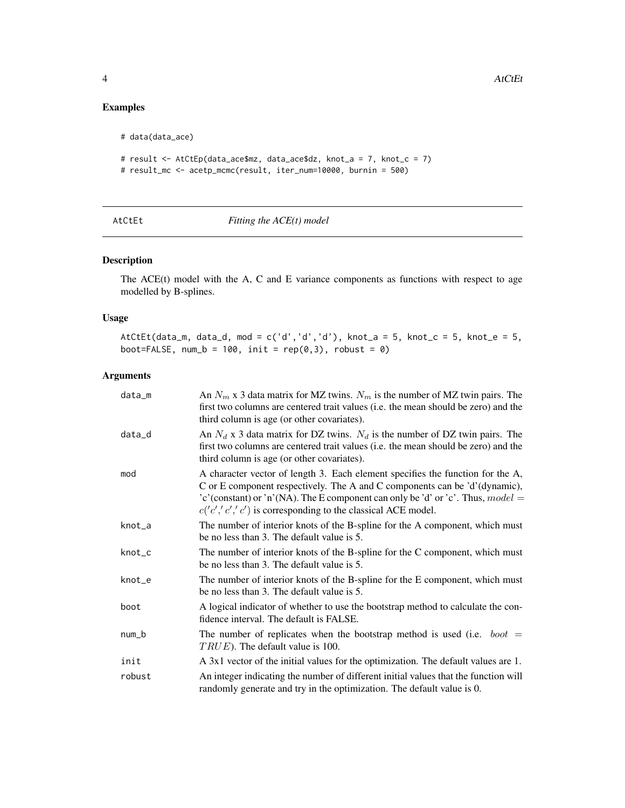#### <span id="page-3-0"></span>Examples

```
# data(data_ace)
# result <- AtCtEp(data_ace$mz, data_ace$dz, knot_a = 7, knot_c = 7)
# result_mc <- acetp_mcmc(result, iter_num=10000, burnin = 500)
```

#### Fitting the ACE(t) model

#### Description

The ACE(t) model with the A, C and E variance components as functions with respect to age modelled by B-splines.

#### Usage

AtCtEt(data\_m, data\_d, mod = c('d','d','d'), knot\_a = 5, knot\_c = 5, knot\_e = 5, boot=FALSE, num\_b = 100, init =  $rep(0,3)$ , robust = 0)

#### Arguments

| data_m | An $N_m$ x 3 data matrix for MZ twins. $N_m$ is the number of MZ twin pairs. The<br>first two columns are centered trait values (i.e. the mean should be zero) and the<br>third column is age (or other covariates).                                                                                               |
|--------|--------------------------------------------------------------------------------------------------------------------------------------------------------------------------------------------------------------------------------------------------------------------------------------------------------------------|
| data_d | An $N_d$ x 3 data matrix for DZ twins. $N_d$ is the number of DZ twin pairs. The<br>first two columns are centered trait values (i.e. the mean should be zero) and the<br>third column is age (or other covariates).                                                                                               |
| mod    | A character vector of length 3. Each element specifies the function for the A,<br>C or E component respectively. The A and C components can be 'd'(dynamic),<br>'c'(constant) or 'n'(NA). The E component can only be 'd' or 'c'. Thus, $model =$<br>$c('c','c','c')$ is corresponding to the classical ACE model. |
| knot_a | The number of interior knots of the B-spline for the A component, which must<br>be no less than 3. The default value is 5.                                                                                                                                                                                         |
| knot_c | The number of interior knots of the B-spline for the C component, which must<br>be no less than 3. The default value is 5.                                                                                                                                                                                         |
| knot_e | The number of interior knots of the B-spline for the E component, which must<br>be no less than 3. The default value is 5.                                                                                                                                                                                         |
| boot   | A logical indicator of whether to use the bootstrap method to calculate the con-<br>fidence interval. The default is FALSE.                                                                                                                                                                                        |
| num_b  | The number of replicates when the bootstrap method is used (i.e. $boot =$<br>$TRUE$ ). The default value is 100.                                                                                                                                                                                                   |
| init   | A 3x1 vector of the initial values for the optimization. The default values are 1.                                                                                                                                                                                                                                 |
| robust | An integer indicating the number of different initial values that the function will<br>randomly generate and try in the optimization. The default value is 0.                                                                                                                                                      |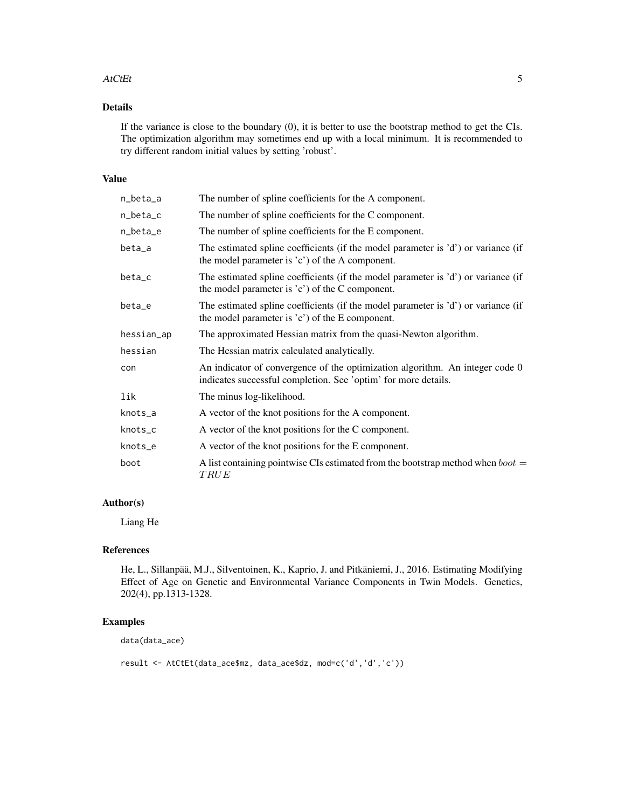#### AtCtEt 5

#### Details

If the variance is close to the boundary (0), it is better to use the bootstrap method to get the CIs. The optimization algorithm may sometimes end up with a local minimum. It is recommended to try different random initial values by setting 'robust'.

#### Value

| n_beta_a   | The number of spline coefficients for the A component.                                                                                         |
|------------|------------------------------------------------------------------------------------------------------------------------------------------------|
| n_beta_c   | The number of spline coefficients for the C component.                                                                                         |
| n_beta_e   | The number of spline coefficients for the E component.                                                                                         |
| beta_a     | The estimated spline coefficients (if the model parameter is 'd') or variance (if<br>the model parameter is $(c')$ of the A component.         |
| beta_c     | The estimated spline coefficients (if the model parameter is 'd') or variance (if<br>the model parameter is $(c')$ of the C component.         |
| beta_e     | The estimated spline coefficients (if the model parameter is 'd') or variance (if<br>the model parameter is $(c')$ of the E component.         |
| hessian_ap | The approximated Hessian matrix from the quasi-Newton algorithm.                                                                               |
| hessian    | The Hessian matrix calculated analytically.                                                                                                    |
| con        | An indicator of convergence of the optimization algorithm. An integer code 0<br>indicates successful completion. See 'optim' for more details. |
| lik        | The minus log-likelihood.                                                                                                                      |
| knots_a    | A vector of the knot positions for the A component.                                                                                            |
| knots_c    | A vector of the knot positions for the C component.                                                                                            |
| knots_e    | A vector of the knot positions for the E component.                                                                                            |
| boot       | A list containing pointwise CIs estimated from the bootstrap method when $boot =$<br>TRUE                                                      |

#### Author(s)

Liang He

#### References

He, L., Sillanpää, M.J., Silventoinen, K., Kaprio, J. and Pitkäniemi, J., 2016. Estimating Modifying Effect of Age on Genetic and Environmental Variance Components in Twin Models. Genetics, 202(4), pp.1313-1328.

#### Examples

data(data\_ace)

result <- AtCtEt(data\_ace\$mz, data\_ace\$dz, mod=c('d','d','c'))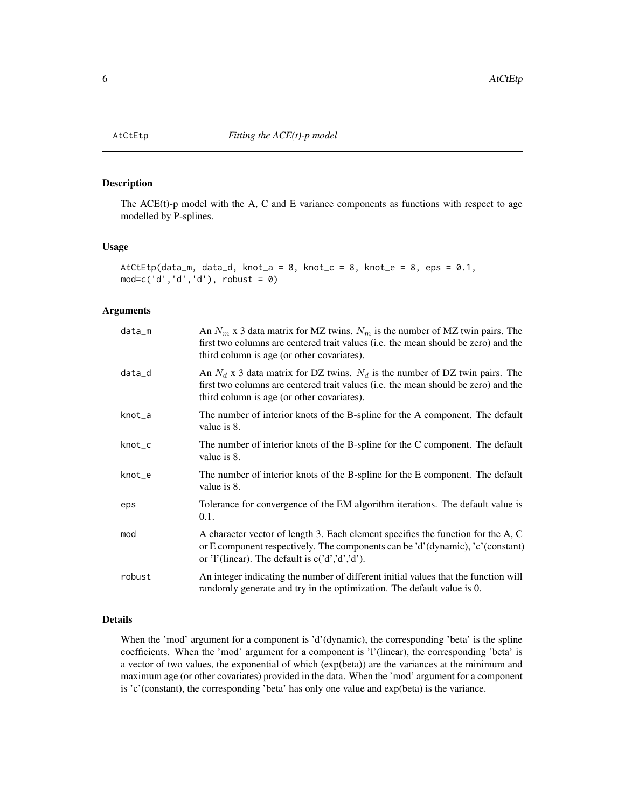<span id="page-5-0"></span>

#### Description

The  $ACE(t)$ -p model with the A, C and E variance components as functions with respect to age modelled by P-splines.

#### Usage

```
AtCtEtp(data_m, data_d, knot_a = 8, knot_c = 8, knot_e = 8, eps = 0.1,
mod=c('d','d','d'), robust = 0)
```
#### Arguments

| data_m | An $N_m$ x 3 data matrix for MZ twins. $N_m$ is the number of MZ twin pairs. The<br>first two columns are centered trait values (i.e. the mean should be zero) and the<br>third column is age (or other covariates).  |
|--------|-----------------------------------------------------------------------------------------------------------------------------------------------------------------------------------------------------------------------|
| data_d | An $N_d$ x 3 data matrix for DZ twins. $N_d$ is the number of DZ twin pairs. The<br>first two columns are centered trait values (i.e. the mean should be zero) and the<br>third column is age (or other covariates).  |
| knot_a | The number of interior knots of the B-spline for the A component. The default<br>value is 8.                                                                                                                          |
| knot_c | The number of interior knots of the B-spline for the C component. The default<br>value is 8.                                                                                                                          |
| knot_e | The number of interior knots of the B-spline for the E component. The default<br>value is 8.                                                                                                                          |
| eps    | Tolerance for convergence of the EM algorithm iterations. The default value is<br>0.1.                                                                                                                                |
| mod    | A character vector of length 3. Each element specifies the function for the A, C<br>or E component respectively. The components can be 'd'(dynamic), 'c'(constant)<br>or 'l'(linear). The default is $c('d','d',d').$ |
| robust | An integer indicating the number of different initial values that the function will<br>randomly generate and try in the optimization. The default value is 0.                                                         |

#### Details

When the 'mod' argument for a component is 'd'(dynamic), the corresponding 'beta' is the spline coefficients. When the 'mod' argument for a component is 'l'(linear), the corresponding 'beta' is a vector of two values, the exponential of which (exp(beta)) are the variances at the minimum and maximum age (or other covariates) provided in the data. When the 'mod' argument for a component is 'c'(constant), the corresponding 'beta' has only one value and exp(beta) is the variance.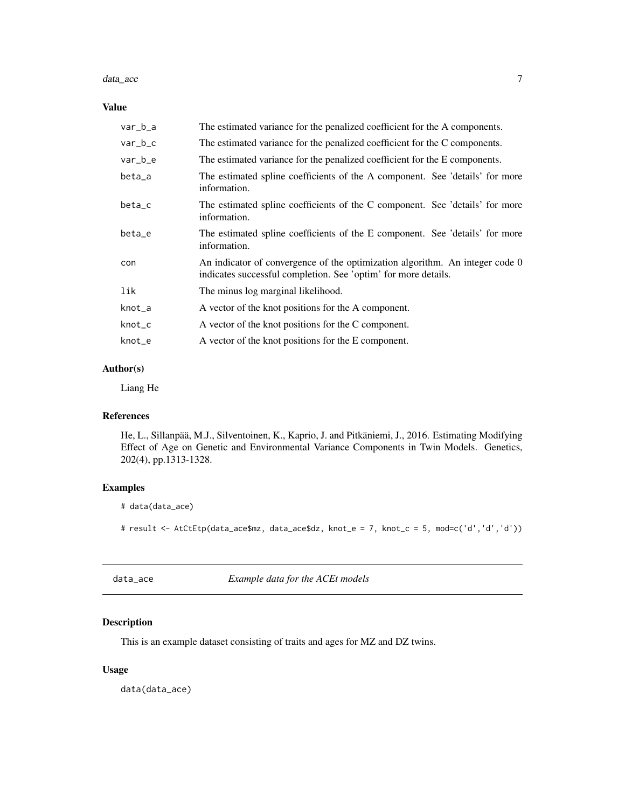#### <span id="page-6-0"></span>data\_ace 7

#### Value

| var_b_a   | The estimated variance for the penalized coefficient for the A components.                                                                     |
|-----------|------------------------------------------------------------------------------------------------------------------------------------------------|
| $var_b_c$ | The estimated variance for the penalized coefficient for the C components.                                                                     |
| var_b_e   | The estimated variance for the penalized coefficient for the E components.                                                                     |
| beta_a    | The estimated spline coefficients of the A component. See 'details' for more<br>information.                                                   |
| beta_c    | The estimated spline coefficients of the C component. See 'details' for more<br>information.                                                   |
| beta_e    | The estimated spline coefficients of the E component. See 'details' for more<br>information.                                                   |
| con       | An indicator of convergence of the optimization algorithm. An integer code 0<br>indicates successful completion. See 'optim' for more details. |
| lik       | The minus log marginal likelihood.                                                                                                             |
| knot_a    | A vector of the knot positions for the A component.                                                                                            |
| knot_c    | A vector of the knot positions for the C component.                                                                                            |
| knot_e    | A vector of the knot positions for the E component.                                                                                            |

#### Author(s)

Liang He

#### References

He, L., Sillanpää, M.J., Silventoinen, K., Kaprio, J. and Pitkäniemi, J., 2016. Estimating Modifying Effect of Age on Genetic and Environmental Variance Components in Twin Models. Genetics, 202(4), pp.1313-1328.

#### Examples

```
# data(data_ace)
```
# result <- AtCtEtp(data\_ace\$mz, data\_ace\$dz, knot\_e = 7, knot\_c = 5, mod=c('d','d','d'))

data\_ace *Example data for the ACEt models*

#### Description

This is an example dataset consisting of traits and ages for MZ and DZ twins.

#### Usage

data(data\_ace)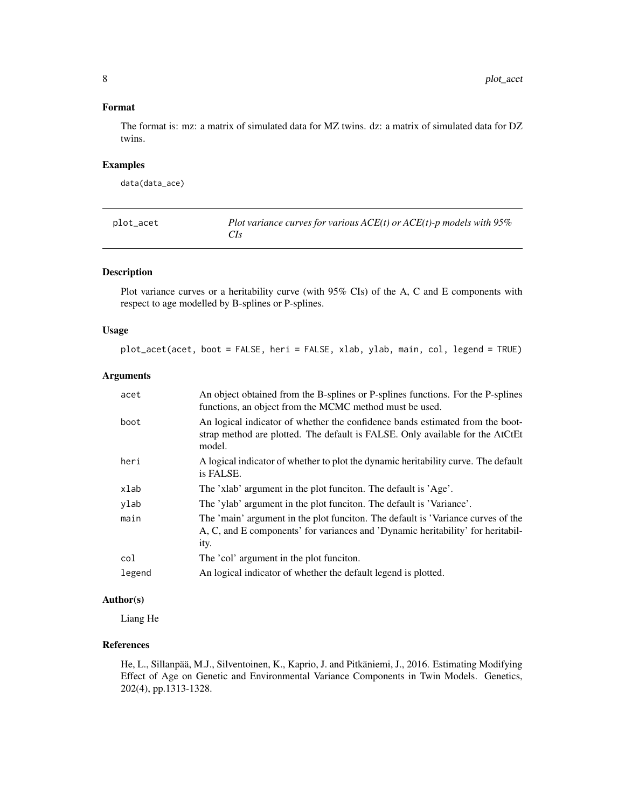#### <span id="page-7-0"></span>Format

The format is: mz: a matrix of simulated data for MZ twins. dz: a matrix of simulated data for DZ twins.

#### Examples

data(data\_ace)

| plot_acet | Plot variance curves for various $ACE(t)$ or $ACE(t)$ -p models with 95% |
|-----------|--------------------------------------------------------------------------|
|           |                                                                          |

#### Description

Plot variance curves or a heritability curve (with 95% CIs) of the A, C and E components with respect to age modelled by B-splines or P-splines.

#### Usage

```
plot_acet(acet, boot = FALSE, heri = FALSE, xlab, ylab, main, col, legend = TRUE)
```
#### Arguments

| acet   | An object obtained from the B-splines or P-splines functions. For the P-splines<br>functions, an object from the MCMC method must be used.                                  |
|--------|-----------------------------------------------------------------------------------------------------------------------------------------------------------------------------|
| boot   | An logical indicator of whether the confidence bands estimated from the boot-<br>strap method are plotted. The default is FALSE. Only available for the AtCtEt<br>model.    |
| heri   | A logical indicator of whether to plot the dynamic heritability curve. The default<br>is FALSE.                                                                             |
| xlab   | The 'xlab' argument in the plot funciton. The default is 'Age'.                                                                                                             |
| ylab   | The 'ylab' argument in the plot funciton. The default is 'Variance'.                                                                                                        |
| main   | The 'main' argument in the plot funciton. The default is 'Variance curves of the<br>A, C, and E components' for variances and 'Dynamic heritability' for heritabil-<br>ity. |
| col    | The 'col' argument in the plot funciton.                                                                                                                                    |
| legend | An logical indicator of whether the default legend is plotted.                                                                                                              |

#### Author(s)

Liang He

#### References

He, L., Sillanpää, M.J., Silventoinen, K., Kaprio, J. and Pitkäniemi, J., 2016. Estimating Modifying Effect of Age on Genetic and Environmental Variance Components in Twin Models. Genetics, 202(4), pp.1313-1328.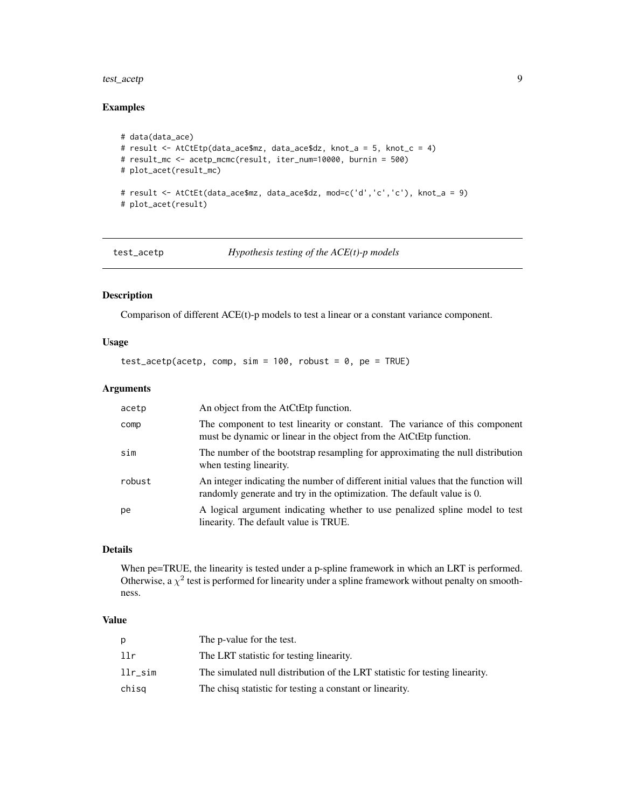#### <span id="page-8-0"></span>test\_acetp 9

#### Examples

```
# data(data_ace)
# result <- AtCtEtp(data_ace$mz, data_ace$dz, knot_a = 5, knot_c = 4)
# result_mc <- acetp_mcmc(result, iter_num=10000, burnin = 500)
# plot_acet(result_mc)
# result <- AtCtEt(data_ace$mz, data_ace$dz, mod=c('d','c','c'), knot_a = 9)
# plot_acet(result)
```
test\_acetp *Hypothesis testing of the ACE(t)-p models*

#### Description

Comparison of different ACE(t)-p models to test a linear or a constant variance component.

#### Usage

test\_acetp(acetp, comp, sim = 100, robust = 0, pe = TRUE)

#### Arguments

| acetp  | An object from the AtCtEtp function.                                                                                                                          |
|--------|---------------------------------------------------------------------------------------------------------------------------------------------------------------|
| comp   | The component to test linearity or constant. The variance of this component<br>must be dynamic or linear in the object from the AtCtEtp function.             |
| sim    | The number of the bootstrap resampling for approximating the null distribution<br>when testing linearity.                                                     |
| robust | An integer indicating the number of different initial values that the function will<br>randomly generate and try in the optimization. The default value is 0. |
| pe     | A logical argument indicating whether to use penalized spline model to test<br>linearity. The default value is TRUE.                                          |

#### Details

When pe=TRUE, the linearity is tested under a p-spline framework in which an LRT is performed. Otherwise, a  $\chi^2$  test is performed for linearity under a spline framework without penalty on smoothness.

#### Value

| Ŋ.      | The p-value for the test.                                                   |
|---------|-----------------------------------------------------------------------------|
| llr     | The LRT statistic for testing linearity.                                    |
| llr sim | The simulated null distribution of the LRT statistic for testing linearity. |
| chisq   | The chisq statistic for testing a constant or linearity.                    |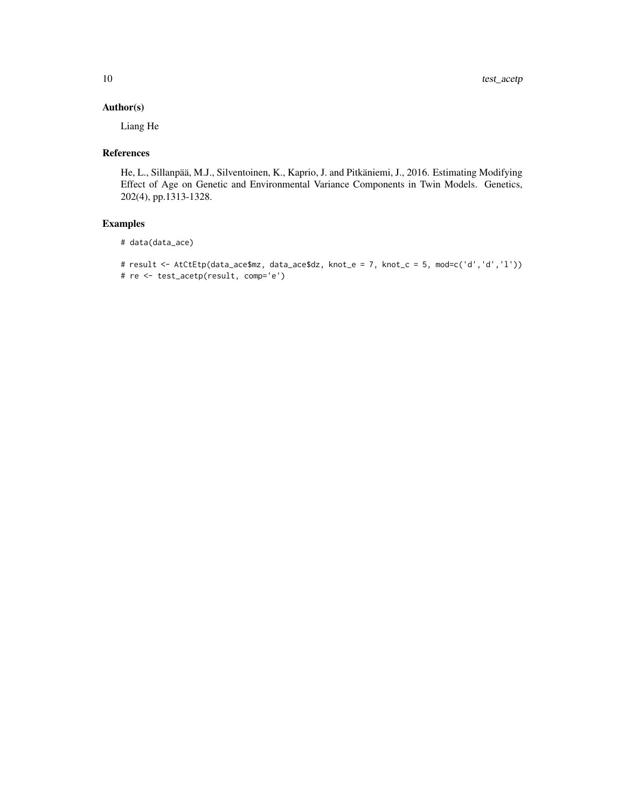#### Author(s)

Liang He

#### References

He, L., Sillanpää, M.J., Silventoinen, K., Kaprio, J. and Pitkäniemi, J., 2016. Estimating Modifying Effect of Age on Genetic and Environmental Variance Components in Twin Models. Genetics, 202(4), pp.1313-1328.

#### Examples

```
# data(data_ace)
```

```
# result <- AtCtEtp(data_ace$mz, data_ace$dz, knot_e = 7, knot_c = 5, mod=c('d','d','l'))
# re <- test_acetp(result, comp='e')
```